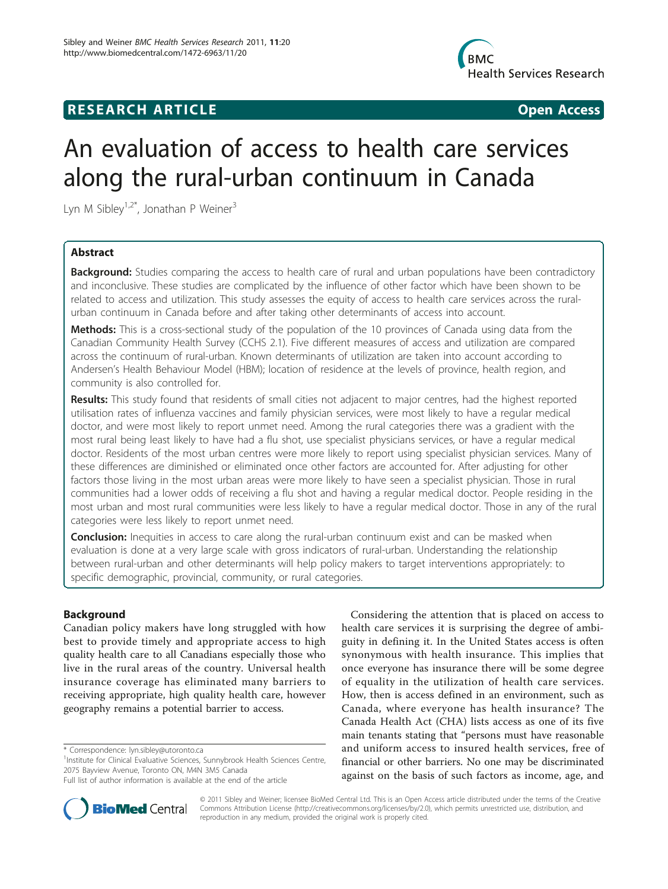



# An evaluation of access to health care services along the rural-urban continuum in Canada

Lyn M Sibley<sup>1,2\*</sup>, Jonathan P Weiner<sup>3</sup>

## Abstract

**Background:** Studies comparing the access to health care of rural and urban populations have been contradictory and inconclusive. These studies are complicated by the influence of other factor which have been shown to be related to access and utilization. This study assesses the equity of access to health care services across the ruralurban continuum in Canada before and after taking other determinants of access into account.

Methods: This is a cross-sectional study of the population of the 10 provinces of Canada using data from the Canadian Community Health Survey (CCHS 2.1). Five different measures of access and utilization are compared across the continuum of rural-urban. Known determinants of utilization are taken into account according to Andersen's Health Behaviour Model (HBM); location of residence at the levels of province, health region, and community is also controlled for.

Results: This study found that residents of small cities not adjacent to major centres, had the highest reported utilisation rates of influenza vaccines and family physician services, were most likely to have a regular medical doctor, and were most likely to report unmet need. Among the rural categories there was a gradient with the most rural being least likely to have had a flu shot, use specialist physicians services, or have a regular medical doctor. Residents of the most urban centres were more likely to report using specialist physician services. Many of these differences are diminished or eliminated once other factors are accounted for. After adjusting for other factors those living in the most urban areas were more likely to have seen a specialist physician. Those in rural communities had a lower odds of receiving a flu shot and having a regular medical doctor. People residing in the most urban and most rural communities were less likely to have a regular medical doctor. Those in any of the rural categories were less likely to report unmet need.

**Conclusion:** Inequities in access to care along the rural-urban continuum exist and can be masked when evaluation is done at a very large scale with gross indicators of rural-urban. Understanding the relationship between rural-urban and other determinants will help policy makers to target interventions appropriately: to specific demographic, provincial, community, or rural categories.

## Background

Canadian policy makers have long struggled with how best to provide timely and appropriate access to high quality health care to all Canadians especially those who live in the rural areas of the country. Universal health insurance coverage has eliminated many barriers to receiving appropriate, high quality health care, however geography remains a potential barrier to access.

Full list of author information is available at the end of the article





© 2011 Sibley and Weiner; licensee BioMed Central Ltd. This is an Open Access article distributed under the terms of the Creative Commons Attribution License [\(http://creativecommons.org/licenses/by/2.0](http://creativecommons.org/licenses/by/2.0)), which permits unrestricted use, distribution, and reproduction in any medium, provided the original work is properly cited.

<sup>\*</sup> Correspondence: [lyn.sibley@utoronto.ca](mailto:lyn.sibley@utoronto.ca)

<sup>&</sup>lt;sup>1</sup>Institute for Clinical Evaluative Sciences, Sunnybrook Health Sciences Centre, 2075 Bayview Avenue, Toronto ON, M4N 3M5 Canada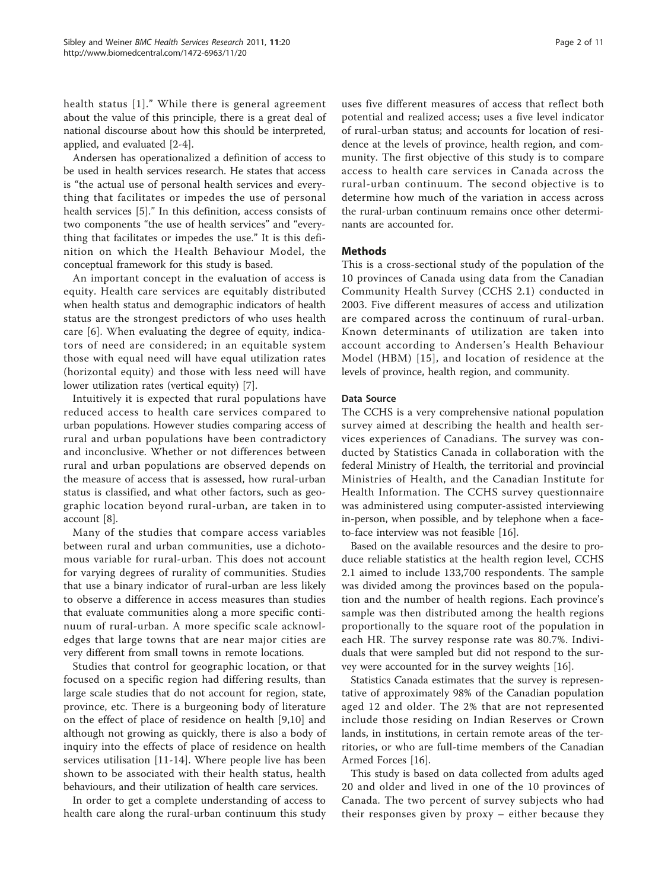health status [[1\]](#page-9-0)." While there is general agreement about the value of this principle, there is a great deal of national discourse about how this should be interpreted, applied, and evaluated [\[2](#page-9-0)-[4\]](#page-9-0).

Andersen has operationalized a definition of access to be used in health services research. He states that access is "the actual use of personal health services and everything that facilitates or impedes the use of personal health services [\[5](#page-9-0)]." In this definition, access consists of two components "the use of health services" and "everything that facilitates or impedes the use." It is this definition on which the Health Behaviour Model, the conceptual framework for this study is based.

An important concept in the evaluation of access is equity. Health care services are equitably distributed when health status and demographic indicators of health status are the strongest predictors of who uses health care [[6\]](#page-9-0). When evaluating the degree of equity, indicators of need are considered; in an equitable system those with equal need will have equal utilization rates (horizontal equity) and those with less need will have lower utilization rates (vertical equity) [[7](#page-9-0)].

Intuitively it is expected that rural populations have reduced access to health care services compared to urban populations. However studies comparing access of rural and urban populations have been contradictory and inconclusive. Whether or not differences between rural and urban populations are observed depends on the measure of access that is assessed, how rural-urban status is classified, and what other factors, such as geographic location beyond rural-urban, are taken in to account [\[8](#page-9-0)].

Many of the studies that compare access variables between rural and urban communities, use a dichotomous variable for rural-urban. This does not account for varying degrees of rurality of communities. Studies that use a binary indicator of rural-urban are less likely to observe a difference in access measures than studies that evaluate communities along a more specific continuum of rural-urban. A more specific scale acknowledges that large towns that are near major cities are very different from small towns in remote locations.

Studies that control for geographic location, or that focused on a specific region had differing results, than large scale studies that do not account for region, state, province, etc. There is a burgeoning body of literature on the effect of place of residence on health [\[9](#page-9-0),[10\]](#page-9-0) and although not growing as quickly, there is also a body of inquiry into the effects of place of residence on health services utilisation [[11-14\]](#page-9-0). Where people live has been shown to be associated with their health status, health behaviours, and their utilization of health care services.

In order to get a complete understanding of access to health care along the rural-urban continuum this study

uses five different measures of access that reflect both potential and realized access; uses a five level indicator of rural-urban status; and accounts for location of residence at the levels of province, health region, and community. The first objective of this study is to compare access to health care services in Canada across the rural-urban continuum. The second objective is to determine how much of the variation in access across the rural-urban continuum remains once other determinants are accounted for.

## Methods

This is a cross-sectional study of the population of the 10 provinces of Canada using data from the Canadian Community Health Survey (CCHS 2.1) conducted in 2003. Five different measures of access and utilization are compared across the continuum of rural-urban. Known determinants of utilization are taken into account according to Andersen's Health Behaviour Model (HBM) [[15](#page-9-0)], and location of residence at the levels of province, health region, and community.

#### Data Source

The CCHS is a very comprehensive national population survey aimed at describing the health and health services experiences of Canadians. The survey was conducted by Statistics Canada in collaboration with the federal Ministry of Health, the territorial and provincial Ministries of Health, and the Canadian Institute for Health Information. The CCHS survey questionnaire was administered using computer-assisted interviewing in-person, when possible, and by telephone when a faceto-face interview was not feasible [[16](#page-9-0)].

Based on the available resources and the desire to produce reliable statistics at the health region level, CCHS 2.1 aimed to include 133,700 respondents. The sample was divided among the provinces based on the population and the number of health regions. Each province's sample was then distributed among the health regions proportionally to the square root of the population in each HR. The survey response rate was 80.7%. Individuals that were sampled but did not respond to the survey were accounted for in the survey weights [[16\]](#page-9-0).

Statistics Canada estimates that the survey is representative of approximately 98% of the Canadian population aged 12 and older. The 2% that are not represented include those residing on Indian Reserves or Crown lands, in institutions, in certain remote areas of the territories, or who are full-time members of the Canadian Armed Forces [[16\]](#page-9-0).

This study is based on data collected from adults aged 20 and older and lived in one of the 10 provinces of Canada. The two percent of survey subjects who had their responses given by proxy – either because they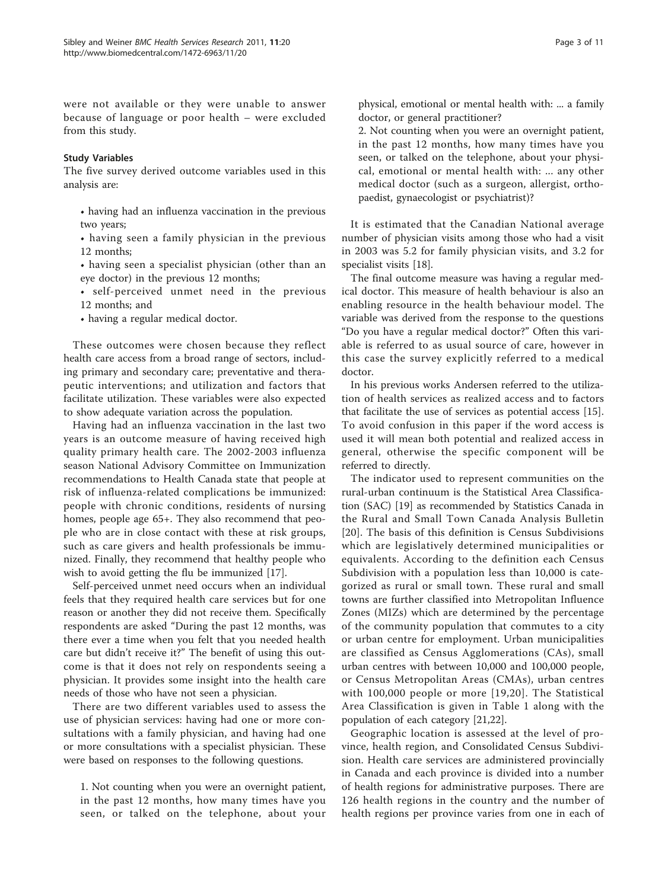were not available or they were unable to answer because of language or poor health – were excluded from this study.

### Study Variables

The five survey derived outcome variables used in this analysis are:

- having had an influenza vaccination in the previous two years;
- having seen a family physician in the previous 12 months;
- having seen a specialist physician (other than an eye doctor) in the previous 12 months;
- self-perceived unmet need in the previous 12 months; and
- having a regular medical doctor.

These outcomes were chosen because they reflect health care access from a broad range of sectors, including primary and secondary care; preventative and therapeutic interventions; and utilization and factors that facilitate utilization. These variables were also expected to show adequate variation across the population.

Having had an influenza vaccination in the last two years is an outcome measure of having received high quality primary health care. The 2002-2003 influenza season National Advisory Committee on Immunization recommendations to Health Canada state that people at risk of influenza-related complications be immunized: people with chronic conditions, residents of nursing homes, people age 65+. They also recommend that people who are in close contact with these at risk groups, such as care givers and health professionals be immunized. Finally, they recommend that healthy people who wish to avoid getting the flu be immunized [[17\]](#page-9-0).

Self-perceived unmet need occurs when an individual feels that they required health care services but for one reason or another they did not receive them. Specifically respondents are asked "During the past 12 months, was there ever a time when you felt that you needed health care but didn't receive it?" The benefit of using this outcome is that it does not rely on respondents seeing a physician. It provides some insight into the health care needs of those who have not seen a physician.

There are two different variables used to assess the use of physician services: having had one or more consultations with a family physician, and having had one or more consultations with a specialist physician. These were based on responses to the following questions.

1. Not counting when you were an overnight patient, in the past 12 months, how many times have you seen, or talked on the telephone, about your physical, emotional or mental health with: ... a family doctor, or general practitioner?

2. Not counting when you were an overnight patient, in the past 12 months, how many times have you seen, or talked on the telephone, about your physical, emotional or mental health with: ... any other medical doctor (such as a surgeon, allergist, orthopaedist, gynaecologist or psychiatrist)?

It is estimated that the Canadian National average number of physician visits among those who had a visit in 2003 was 5.2 for family physician visits, and 3.2 for specialist visits [\[18\]](#page-9-0).

The final outcome measure was having a regular medical doctor. This measure of health behaviour is also an enabling resource in the health behaviour model. The variable was derived from the response to the questions "Do you have a regular medical doctor?" Often this variable is referred to as usual source of care, however in this case the survey explicitly referred to a medical doctor.

In his previous works Andersen referred to the utilization of health services as realized access and to factors that facilitate the use of services as potential access [\[15](#page-9-0)]. To avoid confusion in this paper if the word access is used it will mean both potential and realized access in general, otherwise the specific component will be referred to directly.

The indicator used to represent communities on the rural-urban continuum is the Statistical Area Classification (SAC) [[19](#page-9-0)] as recommended by Statistics Canada in the Rural and Small Town Canada Analysis Bulletin [[20\]](#page-9-0). The basis of this definition is Census Subdivisions which are legislatively determined municipalities or equivalents. According to the definition each Census Subdivision with a population less than 10,000 is categorized as rural or small town. These rural and small towns are further classified into Metropolitan Influence Zones (MIZs) which are determined by the percentage of the community population that commutes to a city or urban centre for employment. Urban municipalities are classified as Census Agglomerations (CAs), small urban centres with between 10,000 and 100,000 people, or Census Metropolitan Areas (CMAs), urban centres with 100,000 people or more [\[19,20](#page-9-0)]. The Statistical Area Classification is given in Table [1](#page-3-0) along with the population of each category [\[21,22\]](#page-9-0).

Geographic location is assessed at the level of province, health region, and Consolidated Census Subdivision. Health care services are administered provincially in Canada and each province is divided into a number of health regions for administrative purposes. There are 126 health regions in the country and the number of health regions per province varies from one in each of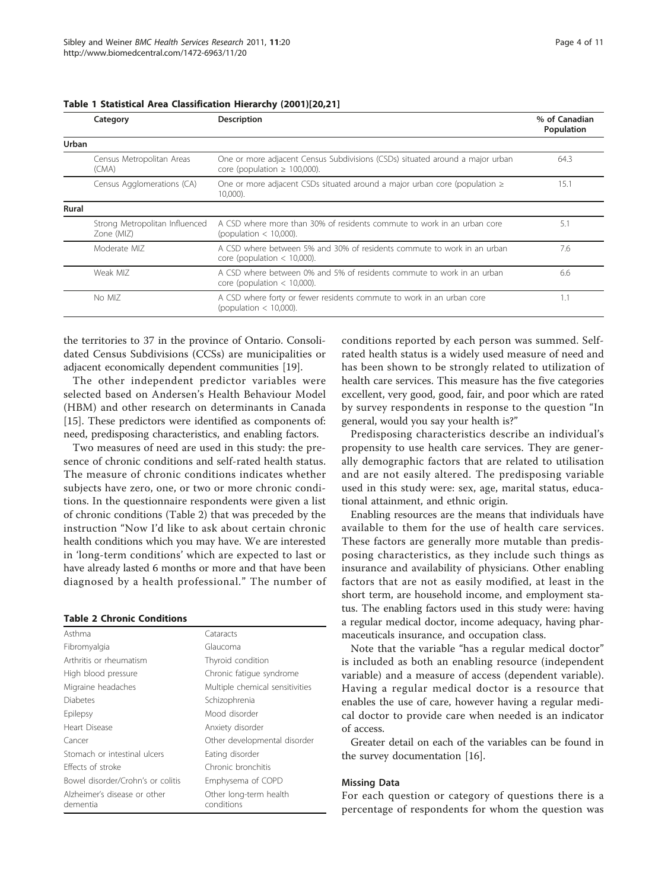|              | Category                                     | <b>Description</b>                                                                                                  | % of Canadian<br>Population |
|--------------|----------------------------------------------|---------------------------------------------------------------------------------------------------------------------|-----------------------------|
| Urban        |                                              |                                                                                                                     |                             |
|              | Census Metropolitan Areas<br>(CMA)           | One or more adjacent Census Subdivisions (CSDs) situated around a major urban<br>core (population $\geq 100,000$ ). | 64.3                        |
|              | Census Agglomerations (CA)                   | One or more adjacent CSDs situated around a major urban core (population $\geq$<br>$10,000$ ).                      | 15.1                        |
| <b>Rural</b> |                                              |                                                                                                                     |                             |
|              | Strong Metropolitan Influenced<br>Zone (MIZ) | A CSD where more than 30% of residents commute to work in an urban core<br>(population $<$ 10,000).                 | 5.1                         |
|              | Moderate MIZ                                 | A CSD where between 5% and 30% of residents commute to work in an urban<br>core (population $<$ 10,000).            | 7.6                         |
|              | Weak MIZ                                     | A CSD where between 0% and 5% of residents commute to work in an urban<br>core (population $<$ 10,000).             | 6.6                         |
|              | No MIZ                                       | A CSD where forty or fewer residents commute to work in an urban core<br>(population $<$ 10,000).                   | 1.1                         |
|              |                                              |                                                                                                                     |                             |

### <span id="page-3-0"></span>Table 1 Statistical Area Classification Hierarchy (2001)[\[20](#page-9-0),[21\]](#page-9-0)

the territories to 37 in the province of Ontario. Consolidated Census Subdivisions (CCSs) are municipalities or adjacent economically dependent communities [\[19\]](#page-9-0).

The other independent predictor variables were selected based on Andersen's Health Behaviour Model (HBM) and other research on determinants in Canada [[15\]](#page-9-0). These predictors were identified as components of: need, predisposing characteristics, and enabling factors.

Two measures of need are used in this study: the presence of chronic conditions and self-rated health status. The measure of chronic conditions indicates whether subjects have zero, one, or two or more chronic conditions. In the questionnaire respondents were given a list of chronic conditions (Table 2) that was preceded by the instruction "Now I'd like to ask about certain chronic health conditions which you may have. We are interested in 'long-term conditions' which are expected to last or have already lasted 6 months or more and that have been diagnosed by a health professional." The number of

#### Table 2 Chronic Conditions

| Asthma                                   | Cataracts                            |
|------------------------------------------|--------------------------------------|
| Fibromyalgia                             | Glaucoma                             |
| Arthritis or rheumatism                  | Thyroid condition                    |
| High blood pressure                      | Chronic fatigue syndrome             |
| Migraine headaches                       | Multiple chemical sensitivities      |
| Diabetes                                 | Schizophrenia                        |
| Epilepsy                                 | Mood disorder                        |
| Heart Disease                            | Anxiety disorder                     |
| Cancer                                   | Other developmental disorder         |
| Stomach or intestinal ulcers             | Eating disorder                      |
| Effects of stroke                        | Chronic bronchitis                   |
| Bowel disorder/Crohn's or colitis        | Emphysema of COPD                    |
| Alzheimer's disease or other<br>dementia | Other long-term health<br>conditions |

conditions reported by each person was summed. Selfrated health status is a widely used measure of need and has been shown to be strongly related to utilization of health care services. This measure has the five categories excellent, very good, good, fair, and poor which are rated by survey respondents in response to the question "In general, would you say your health is?"

Predisposing characteristics describe an individual's propensity to use health care services. They are generally demographic factors that are related to utilisation and are not easily altered. The predisposing variable used in this study were: sex, age, marital status, educational attainment, and ethnic origin.

Enabling resources are the means that individuals have available to them for the use of health care services. These factors are generally more mutable than predisposing characteristics, as they include such things as insurance and availability of physicians. Other enabling factors that are not as easily modified, at least in the short term, are household income, and employment status. The enabling factors used in this study were: having a regular medical doctor, income adequacy, having pharmaceuticals insurance, and occupation class.

Note that the variable "has a regular medical doctor" is included as both an enabling resource (independent variable) and a measure of access (dependent variable). Having a regular medical doctor is a resource that enables the use of care, however having a regular medical doctor to provide care when needed is an indicator of access.

Greater detail on each of the variables can be found in the survey documentation [[16\]](#page-9-0).

#### Missing Data

For each question or category of questions there is a percentage of respondents for whom the question was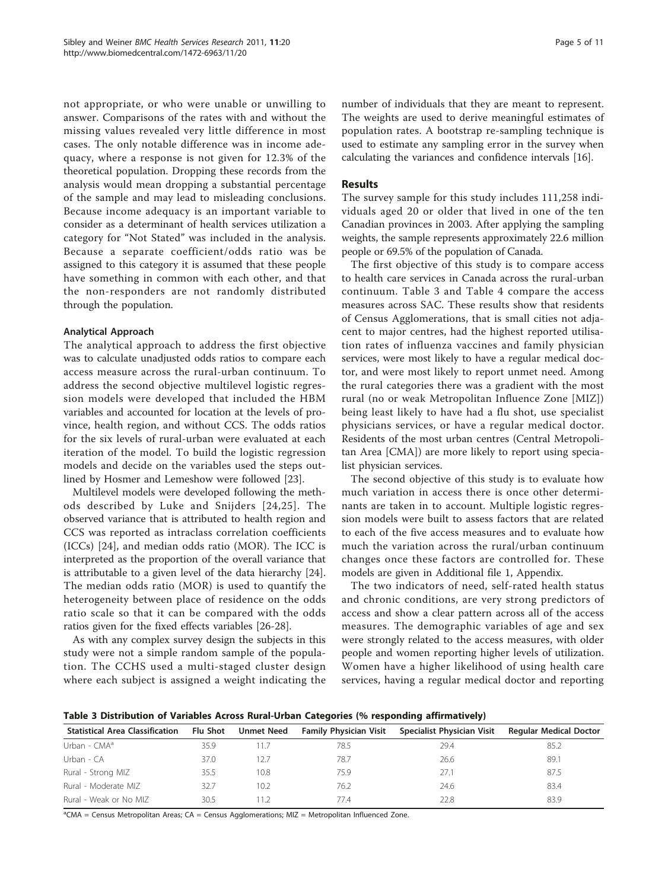not appropriate, or who were unable or unwilling to answer. Comparisons of the rates with and without the missing values revealed very little difference in most cases. The only notable difference was in income adequacy, where a response is not given for 12.3% of the theoretical population. Dropping these records from the analysis would mean dropping a substantial percentage of the sample and may lead to misleading conclusions. Because income adequacy is an important variable to consider as a determinant of health services utilization a category for "Not Stated" was included in the analysis. Because a separate coefficient/odds ratio was be assigned to this category it is assumed that these people have something in common with each other, and that the non-responders are not randomly distributed through the population.

## Analytical Approach

The analytical approach to address the first objective was to calculate unadjusted odds ratios to compare each access measure across the rural-urban continuum. To address the second objective multilevel logistic regression models were developed that included the HBM variables and accounted for location at the levels of province, health region, and without CCS. The odds ratios for the six levels of rural-urban were evaluated at each iteration of the model. To build the logistic regression models and decide on the variables used the steps outlined by Hosmer and Lemeshow were followed [[23](#page-9-0)].

Multilevel models were developed following the methods described by Luke and Snijders [[24](#page-9-0),[25\]](#page-9-0). The observed variance that is attributed to health region and CCS was reported as intraclass correlation coefficients (ICCs) [[24\]](#page-9-0), and median odds ratio (MOR). The ICC is interpreted as the proportion of the overall variance that is attributable to a given level of the data hierarchy [\[24](#page-9-0)]. The median odds ratio (MOR) is used to quantify the heterogeneity between place of residence on the odds ratio scale so that it can be compared with the odds ratios given for the fixed effects variables [[26-28\]](#page-9-0).

As with any complex survey design the subjects in this study were not a simple random sample of the population. The CCHS used a multi-staged cluster design where each subject is assigned a weight indicating the number of individuals that they are meant to represent. The weights are used to derive meaningful estimates of population rates. A bootstrap re-sampling technique is used to estimate any sampling error in the survey when calculating the variances and confidence intervals [\[16](#page-9-0)].

## Results

The survey sample for this study includes 111,258 individuals aged 20 or older that lived in one of the ten Canadian provinces in 2003. After applying the sampling weights, the sample represents approximately 22.6 million people or 69.5% of the population of Canada.

The first objective of this study is to compare access to health care services in Canada across the rural-urban continuum. Table 3 and Table [4](#page-5-0) compare the access measures across SAC. These results show that residents of Census Agglomerations, that is small cities not adjacent to major centres, had the highest reported utilisation rates of influenza vaccines and family physician services, were most likely to have a regular medical doctor, and were most likely to report unmet need. Among the rural categories there was a gradient with the most rural (no or weak Metropolitan Influence Zone [MIZ]) being least likely to have had a flu shot, use specialist physicians services, or have a regular medical doctor. Residents of the most urban centres (Central Metropolitan Area [CMA]) are more likely to report using specialist physician services.

The second objective of this study is to evaluate how much variation in access there is once other determinants are taken in to account. Multiple logistic regression models were built to assess factors that are related to each of the five access measures and to evaluate how much the variation across the rural/urban continuum changes once these factors are controlled for. These models are given in Additional file [1](#page-8-0), Appendix.

The two indicators of need, self-rated health status and chronic conditions, are very strong predictors of access and show a clear pattern across all of the access measures. The demographic variables of age and sex were strongly related to the access measures, with older people and women reporting higher levels of utilization. Women have a higher likelihood of using health care services, having a regular medical doctor and reporting

Table 3 Distribution of Variables Across Rural-Urban Categories (% responding affirmatively)

| <b>Statistical Area Classification</b> | Flu Shot | <b>Unmet Need</b> | Family Physician Visit | Specialist Physician Visit | <b>Regular Medical Doctor</b> |
|----------------------------------------|----------|-------------------|------------------------|----------------------------|-------------------------------|
| Urban - $CMA^a$                        | 35.9     |                   | 78.5                   | 29.4                       | 85.2                          |
| Urban - CA                             | 37.0     | 12.7              | 78.7                   | 26.6                       | 89.1                          |
| Rural - Strong MIZ                     | 35.5     | 10.8              | 75.9                   | 27.1                       | 87.5                          |
| Rural - Moderate MIZ                   | 32.7     | 10.2              | 76.2                   | 24.6                       | 83.4                          |
| Rural - Weak or No MIZ                 | 30.5     | 11 2              | 77.4                   | 22.8                       | 83.9                          |

<sup>a</sup>CMA = Census Metropolitan Areas; CA = Census Agglomerations; MIZ = Metropolitan Influenced Zone.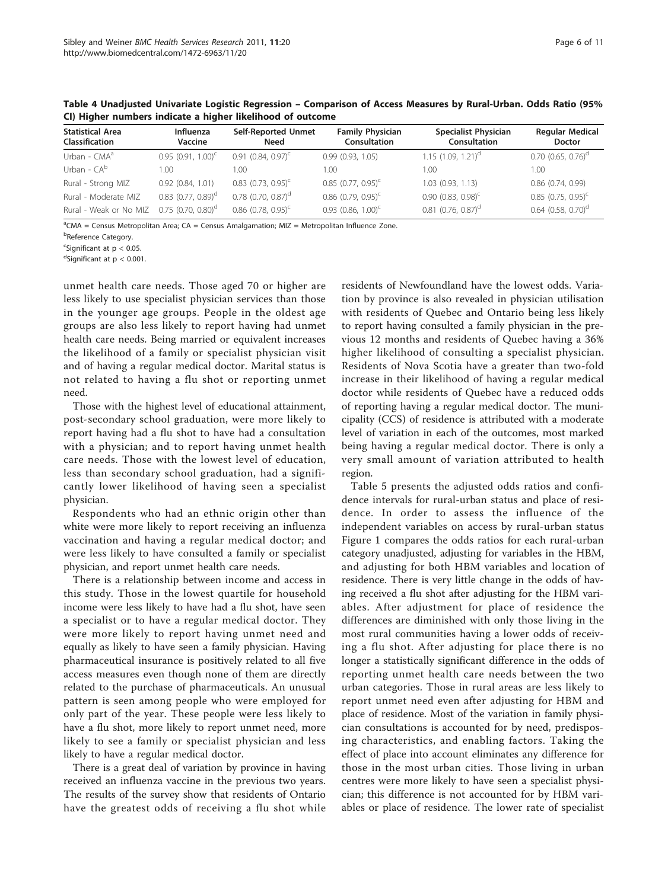<span id="page-5-0"></span>

| Table 4 Unadjusted Univariate Logistic Regression – Comparison of Access Measures by Rural-Urban. Odds Ratio (95% |  |  |  |
|-------------------------------------------------------------------------------------------------------------------|--|--|--|
| CI) Higher numbers indicate a higher likelihood of outcome                                                        |  |  |  |

| <b>Statistical Area</b><br><b>Classification</b> | Influenza<br>Vaccine           | Self-Reported Unmet<br>Need      | <b>Family Physician</b><br>Consultation | <b>Specialist Physician</b><br>Consultation | <b>Regular Medical</b><br><b>Doctor</b> |
|--------------------------------------------------|--------------------------------|----------------------------------|-----------------------------------------|---------------------------------------------|-----------------------------------------|
| Urban - $CMA^a$                                  | $0.95(0.91, 1.00)^c$           | $0.91(0.84, 0.97)^c$             | 0.99(0.93, 1.05)                        | $1.15$ (1.09, 1.21) <sup>d</sup>            | $0.70$ (0.65, 0.76) <sup>d</sup>        |
| Urban - $CA^b$                                   | .00                            | 1.00                             | 00.1                                    | 1.00                                        | 1.00                                    |
| Rural - Strong MIZ                               | 0.92(0.84, 1.01)               | 0.83 $(0.73, 0.95)^c$            | $0.85$ (0.77, 0.95) <sup>c</sup>        | 1.03(0.93, 1.13)                            | $0.86$ $(0.74, 0.99)$                   |
| Rural - Moderate MIZ                             | 0.83 $(0.77, 0.89)^d$          | 0.78 (0.70, 0.87) <sup>d</sup>   | $0.86$ (0.79, 0.95) <sup>c</sup>        | $0.90$ $(0.83, 0.98)^c$                     | $0.85$ (0.75, 0.95) <sup>c</sup>        |
| Rural - Weak or No MIZ                           | 0.75 (0.70, 0.80) <sup>d</sup> | $0.86$ (0.78, 0.95) <sup>c</sup> | $0.93$ (0.86, 1.00) <sup>c</sup>        | $0.81$ (0.76, 0.87) <sup>d</sup>            | $0.64$ (0.58, 0.70) <sup>d</sup>        |

<sup>a</sup>CMA = Census Metropolitan Area; CA = Census Amalgamation; MIZ = Metropolitan Influence Zone.

<sup>b</sup>Reference Category.

 $c$ Significant at  $p < 0.05$ .

<sup>d</sup>Significant at p < 0.001.

unmet health care needs. Those aged 70 or higher are less likely to use specialist physician services than those in the younger age groups. People in the oldest age groups are also less likely to report having had unmet health care needs. Being married or equivalent increases the likelihood of a family or specialist physician visit and of having a regular medical doctor. Marital status is not related to having a flu shot or reporting unmet need.

Those with the highest level of educational attainment, post-secondary school graduation, were more likely to report having had a flu shot to have had a consultation with a physician; and to report having unmet health care needs. Those with the lowest level of education, less than secondary school graduation, had a significantly lower likelihood of having seen a specialist physician.

Respondents who had an ethnic origin other than white were more likely to report receiving an influenza vaccination and having a regular medical doctor; and were less likely to have consulted a family or specialist physician, and report unmet health care needs.

There is a relationship between income and access in this study. Those in the lowest quartile for household income were less likely to have had a flu shot, have seen a specialist or to have a regular medical doctor. They were more likely to report having unmet need and equally as likely to have seen a family physician. Having pharmaceutical insurance is positively related to all five access measures even though none of them are directly related to the purchase of pharmaceuticals. An unusual pattern is seen among people who were employed for only part of the year. These people were less likely to have a flu shot, more likely to report unmet need, more likely to see a family or specialist physician and less likely to have a regular medical doctor.

There is a great deal of variation by province in having received an influenza vaccine in the previous two years. The results of the survey show that residents of Ontario have the greatest odds of receiving a flu shot while residents of Newfoundland have the lowest odds. Variation by province is also revealed in physician utilisation with residents of Quebec and Ontario being less likely to report having consulted a family physician in the previous 12 months and residents of Quebec having a 36% higher likelihood of consulting a specialist physician. Residents of Nova Scotia have a greater than two-fold increase in their likelihood of having a regular medical doctor while residents of Quebec have a reduced odds of reporting having a regular medical doctor. The municipality (CCS) of residence is attributed with a moderate level of variation in each of the outcomes, most marked being having a regular medical doctor. There is only a very small amount of variation attributed to health region.

Table [5](#page-6-0) presents the adjusted odds ratios and confidence intervals for rural-urban status and place of residence. In order to assess the influence of the independent variables on access by rural-urban status Figure [1](#page-7-0) compares the odds ratios for each rural-urban category unadjusted, adjusting for variables in the HBM, and adjusting for both HBM variables and location of residence. There is very little change in the odds of having received a flu shot after adjusting for the HBM variables. After adjustment for place of residence the differences are diminished with only those living in the most rural communities having a lower odds of receiving a flu shot. After adjusting for place there is no longer a statistically significant difference in the odds of reporting unmet health care needs between the two urban categories. Those in rural areas are less likely to report unmet need even after adjusting for HBM and place of residence. Most of the variation in family physician consultations is accounted for by need, predisposing characteristics, and enabling factors. Taking the effect of place into account eliminates any difference for those in the most urban cities. Those living in urban centres were more likely to have seen a specialist physician; this difference is not accounted for by HBM variables or place of residence. The lower rate of specialist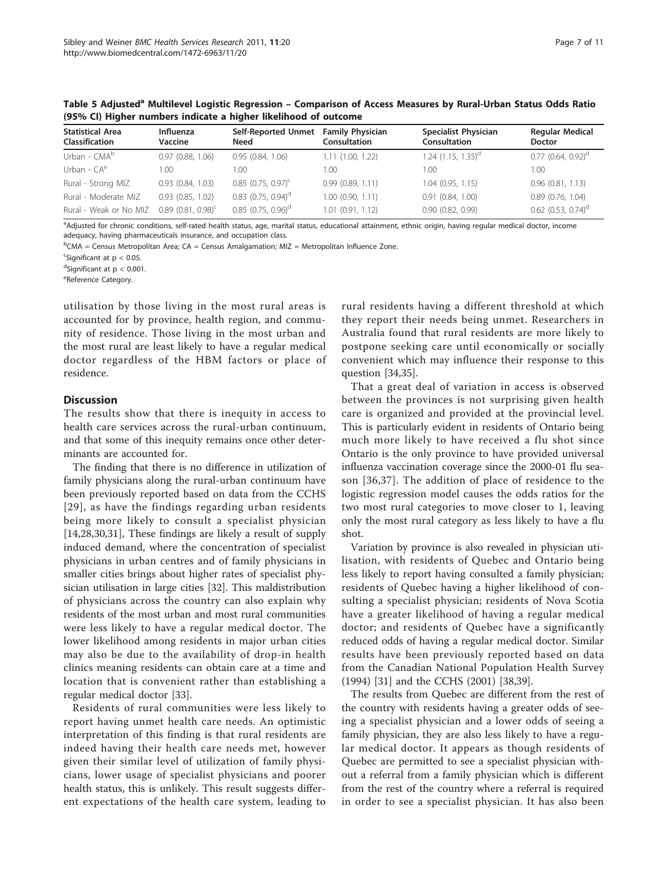| <b>Statistical Area</b><br><b>Classification</b> | <b>Influenza</b><br>Vaccine | <b>Self-Reported Unmet</b><br><b>Need</b> | <b>Family Physician</b><br>Consultation | <b>Specialist Physician</b><br>Consultation | <b>Regular Medical</b><br><b>Doctor</b> |
|--------------------------------------------------|-----------------------------|-------------------------------------------|-----------------------------------------|---------------------------------------------|-----------------------------------------|
| Urban - CMA <sup>b</sup>                         | 0.97(0.88, 1.06)            | 0.95(0.84, 1.06)                          | 1.11(1.00, 1.22)                        | $1.24$ (1.15, 1.35) <sup>d</sup>            | $0.77$ $(0.64, 0.92)^d$                 |
| Urban - $CAe$                                    | 1.00                        | 1.00                                      | .00                                     | 1.00                                        | 1.00                                    |
| Rural - Strong MIZ                               | 0.93(0.84, 1.03)            | $0.85$ (0.75, 0.97) <sup>c</sup>          | 0.99(0.89, 1.11)                        | 1.04(0.95, 1.15)                            | $0.96$ $(0.81, 1.13)$                   |
| Rural - Moderate MIZ                             | $0.93$ $(0.85, 1.02)$       | 0.83 $(0.75, 0.94)^d$                     | $1.00$ $(0.90, 1.11)$                   | 0.91(0.84, 1.00)                            | $0.89$ $(0.76, 1.04)$                   |
| Rural - Weak or No MIZ                           | $0.89(0.81, 0.98)^c$        | 0.85 (0.75, 0.96) <sup>d</sup>            | $1.01$ $(0.91, 1.12)$                   | 0.90(0.82, 0.99)                            | 0.62 (0.53, 0.74) <sup>d</sup>          |

<span id="page-6-0"></span>Table 5 Adjusted<sup>a</sup> Multilevel Logistic Regression - Comparison of Access Measures by Rural-Urban Status Odds Ratio (95% CI) Higher numbers indicate a higher likelihood of outcome

a<br>Adjusted for chronic conditions, self-rated health status, age, marital status, educational attainment, ethnic origin, having regular medical doctor, income adequacy, having pharmaceuticals insurance, and occupation class.

<sup>b</sup>CMA = Census Metropolitan Area; CA = Census Amalgamation; MIZ = Metropolitan Influence Zone.

 $c$ Significant at  $p < 0.05$ .

<sup>d</sup>Significant at p < 0.001.

<sup>e</sup>Reference Category.

utilisation by those living in the most rural areas is accounted for by province, health region, and community of residence. Those living in the most urban and the most rural are least likely to have a regular medical doctor regardless of the HBM factors or place of residence.

#### **Discussion**

The results show that there is inequity in access to health care services across the rural-urban continuum, and that some of this inequity remains once other determinants are accounted for.

The finding that there is no difference in utilization of family physicians along the rural-urban continuum have been previously reported based on data from the CCHS [[29\]](#page-9-0), as have the findings regarding urban residents being more likely to consult a specialist physician [[14,28,30,31\]](#page-9-0), These findings are likely a result of supply induced demand, where the concentration of specialist physicians in urban centres and of family physicians in smaller cities brings about higher rates of specialist physician utilisation in large cities [\[32\]](#page-9-0). This maldistribution of physicians across the country can also explain why residents of the most urban and most rural communities were less likely to have a regular medical doctor. The lower likelihood among residents in major urban cities may also be due to the availability of drop-in health clinics meaning residents can obtain care at a time and location that is convenient rather than establishing a regular medical doctor [\[33\]](#page-9-0).

Residents of rural communities were less likely to report having unmet health care needs. An optimistic interpretation of this finding is that rural residents are indeed having their health care needs met, however given their similar level of utilization of family physicians, lower usage of specialist physicians and poorer health status, this is unlikely. This result suggests different expectations of the health care system, leading to rural residents having a different threshold at which they report their needs being unmet. Researchers in Australia found that rural residents are more likely to postpone seeking care until economically or socially convenient which may influence their response to this question [[34,35\]](#page-9-0).

That a great deal of variation in access is observed between the provinces is not surprising given health care is organized and provided at the provincial level. This is particularly evident in residents of Ontario being much more likely to have received a flu shot since Ontario is the only province to have provided universal influenza vaccination coverage since the 2000-01 flu season [[36,37\]](#page-9-0). The addition of place of residence to the logistic regression model causes the odds ratios for the two most rural categories to move closer to 1, leaving only the most rural category as less likely to have a flu shot.

Variation by province is also revealed in physician utilisation, with residents of Quebec and Ontario being less likely to report having consulted a family physician; residents of Quebec having a higher likelihood of consulting a specialist physician; residents of Nova Scotia have a greater likelihood of having a regular medical doctor; and residents of Quebec have a significantly reduced odds of having a regular medical doctor. Similar results have been previously reported based on data from the Canadian National Population Health Survey (1994) [[31\]](#page-9-0) and the CCHS (2001) [[38](#page-9-0),[39](#page-9-0)].

The results from Quebec are different from the rest of the country with residents having a greater odds of seeing a specialist physician and a lower odds of seeing a family physician, they are also less likely to have a regular medical doctor. It appears as though residents of Quebec are permitted to see a specialist physician without a referral from a family physician which is different from the rest of the country where a referral is required in order to see a specialist physician. It has also been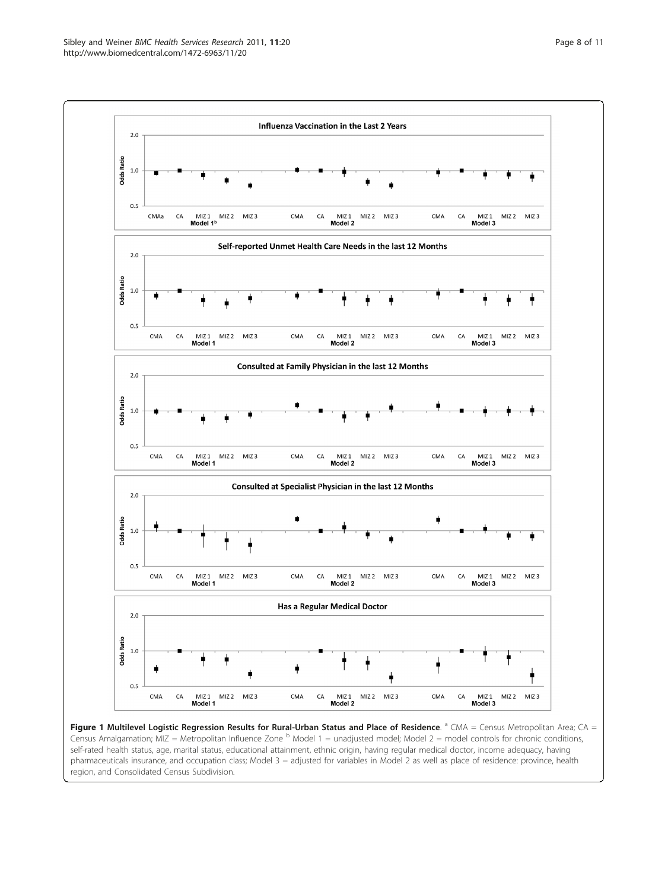<span id="page-7-0"></span>

Figure 1 Multilevel Logistic Regression Results for Rural-Urban Status and Place of Residence. <sup>a</sup> CMA = Census Metropolitan Area; CA = Census Amalgamation;  $\overline{M}Z =$  Metropolitan Influence Zone  $^b$  Model 1 = unadjusted model; Model 2 = model controls for chronic conditions, self-rated health status, age, marital status, educational attainment, ethnic origin, having regular medical doctor, income adequacy, having pharmaceuticals insurance, and occupation class; Model 3 = adjusted for variables in Model 2 as well as place of residence: province, health region, and Consolidated Census Subdivision.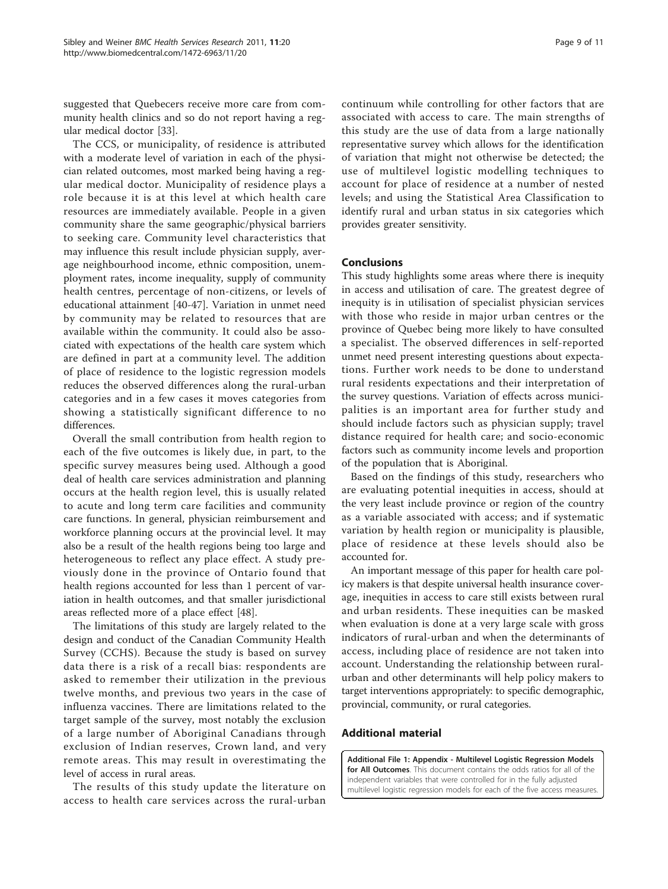<span id="page-8-0"></span>suggested that Quebecers receive more care from community health clinics and so do not report having a regular medical doctor [[33](#page-9-0)].

The CCS, or municipality, of residence is attributed with a moderate level of variation in each of the physician related outcomes, most marked being having a regular medical doctor. Municipality of residence plays a role because it is at this level at which health care resources are immediately available. People in a given community share the same geographic/physical barriers to seeking care. Community level characteristics that may influence this result include physician supply, average neighbourhood income, ethnic composition, unemployment rates, income inequality, supply of community health centres, percentage of non-citizens, or levels of educational attainment [\[40](#page-9-0)-[47](#page-10-0)]. Variation in unmet need by community may be related to resources that are available within the community. It could also be associated with expectations of the health care system which are defined in part at a community level. The addition of place of residence to the logistic regression models reduces the observed differences along the rural-urban categories and in a few cases it moves categories from showing a statistically significant difference to no differences.

Overall the small contribution from health region to each of the five outcomes is likely due, in part, to the specific survey measures being used. Although a good deal of health care services administration and planning occurs at the health region level, this is usually related to acute and long term care facilities and community care functions. In general, physician reimbursement and workforce planning occurs at the provincial level. It may also be a result of the health regions being too large and heterogeneous to reflect any place effect. A study previously done in the province of Ontario found that health regions accounted for less than 1 percent of variation in health outcomes, and that smaller jurisdictional areas reflected more of a place effect [\[48](#page-10-0)].

The limitations of this study are largely related to the design and conduct of the Canadian Community Health Survey (CCHS). Because the study is based on survey data there is a risk of a recall bias: respondents are asked to remember their utilization in the previous twelve months, and previous two years in the case of influenza vaccines. There are limitations related to the target sample of the survey, most notably the exclusion of a large number of Aboriginal Canadians through exclusion of Indian reserves, Crown land, and very remote areas. This may result in overestimating the level of access in rural areas.

The results of this study update the literature on access to health care services across the rural-urban continuum while controlling for other factors that are associated with access to care. The main strengths of this study are the use of data from a large nationally representative survey which allows for the identification of variation that might not otherwise be detected; the use of multilevel logistic modelling techniques to account for place of residence at a number of nested levels; and using the Statistical Area Classification to identify rural and urban status in six categories which provides greater sensitivity.

## Conclusions

This study highlights some areas where there is inequity in access and utilisation of care. The greatest degree of inequity is in utilisation of specialist physician services with those who reside in major urban centres or the province of Quebec being more likely to have consulted a specialist. The observed differences in self-reported unmet need present interesting questions about expectations. Further work needs to be done to understand rural residents expectations and their interpretation of the survey questions. Variation of effects across municipalities is an important area for further study and should include factors such as physician supply; travel distance required for health care; and socio-economic factors such as community income levels and proportion of the population that is Aboriginal.

Based on the findings of this study, researchers who are evaluating potential inequities in access, should at the very least include province or region of the country as a variable associated with access; and if systematic variation by health region or municipality is plausible, place of residence at these levels should also be accounted for.

An important message of this paper for health care policy makers is that despite universal health insurance coverage, inequities in access to care still exists between rural and urban residents. These inequities can be masked when evaluation is done at a very large scale with gross indicators of rural-urban and when the determinants of access, including place of residence are not taken into account. Understanding the relationship between ruralurban and other determinants will help policy makers to target interventions appropriately: to specific demographic, provincial, community, or rural categories.

## Additional material

[Additional File 1:](http://www.biomedcentral.com/content/supplementary/1472-6963-11-20-S1.PDF) Appendix - Multilevel Logistic Regression Models for All Outcomes. This document contains the odds ratios for all of the independent variables that were controlled for in the fully adjusted multilevel logistic regression models for each of the five access measures.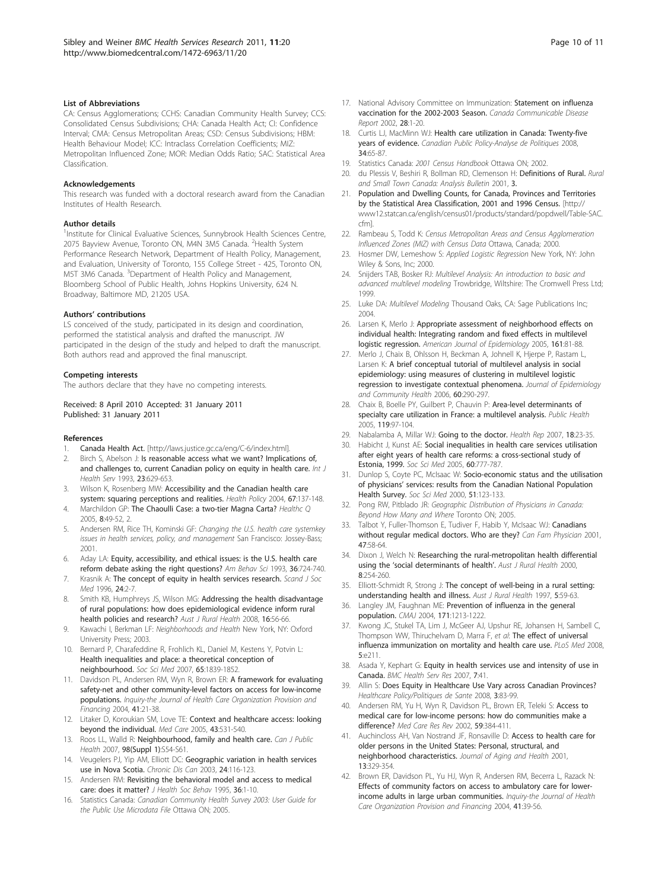#### <span id="page-9-0"></span>List of Abbreviations

CA: Census Agglomerations; CCHS: Canadian Community Health Survey; CCS: Consolidated Census Subdivisions; CHA: Canada Health Act; CI: Confidence Interval; CMA: Census Metropolitan Areas; CSD: Census Subdivisions; HBM: Health Behaviour Model; ICC: Intraclass Correlation Coefficients; MIZ: Metropolitan Influenced Zone; MOR: Median Odds Ratio; SAC: Statistical Area Classification.

#### Acknowledgements

This research was funded with a doctoral research award from the Canadian Institutes of Health Research.

#### Author details

<sup>1</sup>Institute for Clinical Evaluative Sciences, Sunnybrook Health Sciences Centre, 2075 Bayview Avenue, Toronto ON, M4N 3M5 Canada. <sup>2</sup>Health System Performance Research Network, Department of Health Policy, Management, and Evaluation, University of Toronto, 155 College Street - 425, Toronto ON, M5T 3M6 Canada. <sup>3</sup>Department of Health Policy and Management, Bloomberg School of Public Health, Johns Hopkins University, 624 N. Broadway, Baltimore MD, 21205 USA.

#### Authors' contributions

LS conceived of the study, participated in its design and coordination, performed the statistical analysis and drafted the manuscript. JW participated in the design of the study and helped to draft the manuscript. Both authors read and approved the final manuscript.

#### Competing interests

The authors declare that they have no competing interests.

#### Received: 8 April 2010 Accepted: 31 January 2011 Published: 31 January 2011

#### References

- Canada Health Act. [\[http://laws.justice.gc.ca/eng/C-6/index.html\]](http://laws.justice.gc.ca/eng/C-6/index.html).
- 2. Birch S, Abelson J: [Is reasonable access what we want? Implications of,](http://www.ncbi.nlm.nih.gov/pubmed/8080493?dopt=Abstract) [and challenges to, current Canadian policy on equity in health care.](http://www.ncbi.nlm.nih.gov/pubmed/8080493?dopt=Abstract) Int J Health Serv 1993, 23:629-653.
- 3. Wilson K, Rosenberg MW: [Accessibility and the Canadian health care](http://www.ncbi.nlm.nih.gov/pubmed/14720632?dopt=Abstract) [system: squaring perceptions and realities.](http://www.ncbi.nlm.nih.gov/pubmed/14720632?dopt=Abstract) Health Policy 2004, 67:137-148.
- 4. Marchildon GP: [The Chaoulli Case: a two-tier Magna Carta?](http://www.ncbi.nlm.nih.gov/pubmed/16323514?dopt=Abstract) Healthc Q 2005, 8:49-52, 2.
- 5. Andersen RM, Rice TH, Kominski GF: Changing the U.S. health care systemkey issues in health services, policy, and management San Francisco: Jossey-Bass; 2001.
- 6. Aday LA: [Equity, accessibility, and ethical issues: is the U.S. health care](http://www.ncbi.nlm.nih.gov/pubmed/11657446?dopt=Abstract) [reform debate asking the right questions?](http://www.ncbi.nlm.nih.gov/pubmed/11657446?dopt=Abstract) Am Behav Sci 1993, 36:724-740.
- 7. Krasnik A: [The concept of equity in health services research.](http://www.ncbi.nlm.nih.gov/pubmed/8740870?dopt=Abstract) Scand J Soc Med 1996, 24:2-7.
- 8. Smith KB, Humphreys JS, Wilson MG: [Addressing the health disadvantage](http://www.ncbi.nlm.nih.gov/pubmed/18318846?dopt=Abstract) [of rural populations: how does epidemiological evidence inform rural](http://www.ncbi.nlm.nih.gov/pubmed/18318846?dopt=Abstract) [health policies and research?](http://www.ncbi.nlm.nih.gov/pubmed/18318846?dopt=Abstract) Aust J Rural Health 2008, 16:56-66.
- 9. Kawachi I, Berkman LF: Neighborhoods and Health New York, NY: Oxford University Press; 2003.
- 10. Bernard P, Charafeddine R, Frohlich KL, Daniel M, Kestens Y, Potvin L: [Health inequalities and place: a theoretical conception of](http://www.ncbi.nlm.nih.gov/pubmed/17614174?dopt=Abstract) [neighbourhood.](http://www.ncbi.nlm.nih.gov/pubmed/17614174?dopt=Abstract) Soc Sci Med 2007, 65:1839-1852.
- 11. Davidson PL, Andersen RM, Wyn R, Brown ER: A framework for evaluating safety-net and other community-level factors on access for low-income populations. Inquiry-the Journal of Health Care Organization Provision and Financing 2004, 41:21-38.
- 12. Litaker D, Koroukian SM, Love TE: [Context and healthcare access: looking](http://www.ncbi.nlm.nih.gov/pubmed/15908847?dopt=Abstract) [beyond the individual.](http://www.ncbi.nlm.nih.gov/pubmed/15908847?dopt=Abstract) Med Care 2005, 43:531-540.
- 13. Roos LL, Walld R: [Neighbourhood, family and health care.](http://www.ncbi.nlm.nih.gov/pubmed/18047161?dopt=Abstract) Can J Public Health 2007, 98(Suppl 1):S54-S61.
- 14. Veugelers PJ, Yip AM, Elliott DC: [Geographic variation in health services](http://www.ncbi.nlm.nih.gov/pubmed/14733761?dopt=Abstract) [use in Nova Scotia.](http://www.ncbi.nlm.nih.gov/pubmed/14733761?dopt=Abstract) Chronic Dis Can 2003, 24:116-123.
- 15. Andersen RM: [Revisiting the behavioral model and access to medical](http://www.ncbi.nlm.nih.gov/pubmed/7738325?dopt=Abstract) [care: does it matter?](http://www.ncbi.nlm.nih.gov/pubmed/7738325?dopt=Abstract) J Health Soc Behav 1995, 36:1-10.
- 16. Statistics Canada: Canadian Community Health Survey 2003: User Guide for the Public Use Microdata File Ottawa ON; 2005.
- 17. National Advisory Committee on Immunization: Statement on influenza vaccination for the 2002-2003 Season. Canada Communicable Disease Report 2002, 28:1-20.
- 18. Curtis LJ, MacMinn WJ: Health care utilization in Canada: Twenty-five years of evidence. Canadian Public Policy-Analyse de Politiques 2008, 34:65-87.
- 19. Statistics Canada: 2001 Census Handbook Ottawa ON; 2002.
- 20. du Plessis V, Beshiri R, Bollman RD, Clemenson H: Definitions of Rural. Rural and Small Town Canada: Analysis Bulletin 2001, 3.
- 21. Population and Dwelling Counts, for Canada, Provinces and Territories by the Statistical Area Classification, 2001 and 1996 Census. [[http://](http://www12.statcan.ca/english/census01/products/standard/popdwell/Table-SAC.cfm) [www12.statcan.ca/english/census01/products/standard/popdwell/Table-SAC.](http://www12.statcan.ca/english/census01/products/standard/popdwell/Table-SAC.cfm) [cfm](http://www12.statcan.ca/english/census01/products/standard/popdwell/Table-SAC.cfm)].
- 22. Rambeau S, Todd K: Census Metropolitan Areas and Census Agglomeration Influenced Zones (MIZ) with Census Data Ottawa, Canada; 2000.
- Hosmer DW, Lemeshow S: Applied Logistic Regression New York, NY: John Wiley & Sons, Inc; 2000.
- 24. Snijders TAB, Bosker RJ: Multilevel Analysis: An introduction to basic and advanced multilevel modeling Trowbridge, Wiltshire: The Cromwell Press Ltd; 1999.
- 25. Luke DA: Multilevel Modeling Thousand Oaks, CA: Sage Publications Inc; 2004.
- 26. Larsen K, Merlo J: [Appropriate assessment of neighborhood effects on](http://www.ncbi.nlm.nih.gov/pubmed/15615918?dopt=Abstract) [individual health: Integrating random and fixed effects in multilevel](http://www.ncbi.nlm.nih.gov/pubmed/15615918?dopt=Abstract) [logistic regression.](http://www.ncbi.nlm.nih.gov/pubmed/15615918?dopt=Abstract) American Journal of Epidemiology 2005, 161:81-88.
- 27. Merlo J, Chaix B, Ohlsson H, Beckman A, Johnell K, Hjerpe P, Rastam L, Larsen K: [A brief conceptual tutorial of multilevel analysis in social](http://www.ncbi.nlm.nih.gov/pubmed/16537344?dopt=Abstract) [epidemiology: using measures of clustering in multilevel logistic](http://www.ncbi.nlm.nih.gov/pubmed/16537344?dopt=Abstract) [regression to investigate contextual phenomena.](http://www.ncbi.nlm.nih.gov/pubmed/16537344?dopt=Abstract) Journal of Epidemiology and Community Health 2006, 60:290-297.
- 28. Chaix B, Boelle PY, Guilbert P, Chauvin P: [Area-level determinants of](http://www.ncbi.nlm.nih.gov/pubmed/15694956?dopt=Abstract) [specialty care utilization in France: a multilevel analysis.](http://www.ncbi.nlm.nih.gov/pubmed/15694956?dopt=Abstract) Public Health 2005, 119:97-104.
- 29. Nabalamba A, Millar WJ: [Going to the doctor.](http://www.ncbi.nlm.nih.gov/pubmed/17441441?dopt=Abstract) Health Rep 2007, 18:23-35.
- Habicht J, Kunst AE: [Social inequalities in health care services utilisation](http://www.ncbi.nlm.nih.gov/pubmed/15571895?dopt=Abstract) [after eight years of health care reforms: a cross-sectional study of](http://www.ncbi.nlm.nih.gov/pubmed/15571895?dopt=Abstract) [Estonia, 1999.](http://www.ncbi.nlm.nih.gov/pubmed/15571895?dopt=Abstract) Soc Sci Med 2005, 60:777-787.
- 31. Dunlop S, Coyte PC, McIsaac W: [Socio-economic status and the utilisation](http://www.ncbi.nlm.nih.gov/pubmed/10817475?dopt=Abstract) of physicians' [services: results from the Canadian National Population](http://www.ncbi.nlm.nih.gov/pubmed/10817475?dopt=Abstract) [Health Survey.](http://www.ncbi.nlm.nih.gov/pubmed/10817475?dopt=Abstract) Soc Sci Med 2000, 51:123-133.
- 32. Pong RW, Pitblado JR: Geographic Distribution of Physicians in Canada: Beyond How Many and Where Toronto ON; 2005.
- 33. Talbot Y, Fuller-Thomson E, Tudiver F, Habib Y, McIsaac WJ: [Canadians](http://www.ncbi.nlm.nih.gov/pubmed/11212435?dopt=Abstract) [without regular medical doctors. Who are they?](http://www.ncbi.nlm.nih.gov/pubmed/11212435?dopt=Abstract) Can Fam Physician 2001, 47:58-64.
- 34. Dixon J, Welch N: [Researching the rural-metropolitan health differential](http://www.ncbi.nlm.nih.gov/pubmed/11894255?dopt=Abstract) using the '[social determinants of health](http://www.ncbi.nlm.nih.gov/pubmed/11894255?dopt=Abstract)'. Aust J Rural Health 2000, 8:254-260.
- 35. Elliott-Schmidt R, Strong J: [The concept of well-being in a rural setting:](http://www.ncbi.nlm.nih.gov/pubmed/9444122?dopt=Abstract) [understanding health and illness.](http://www.ncbi.nlm.nih.gov/pubmed/9444122?dopt=Abstract) Aust J Rural Health 1997, 5:59-63.
- 36. Langley JM, Faughnan ME: [Prevention of influenza in the general](http://www.ncbi.nlm.nih.gov/pubmed/15534315?dopt=Abstract) [population.](http://www.ncbi.nlm.nih.gov/pubmed/15534315?dopt=Abstract) CMAJ 2004, 171:1213-1222.
- 37. Kwong JC, Stukel TA, Lim J, McGeer AJ, Upshur RE, Johansen H, Sambell C, Thompson WW, Thiruchelvam D, Marra F, et al: [The effect of universal](http://www.ncbi.nlm.nih.gov/pubmed/18959473?dopt=Abstract) [influenza immunization on mortality and health care use.](http://www.ncbi.nlm.nih.gov/pubmed/18959473?dopt=Abstract) PLoS Med 2008, 5:e211.
- 38. Asada Y, Kephart G: [Equity in health services use and intensity of use in](http://www.ncbi.nlm.nih.gov/pubmed/17349059?dopt=Abstract) [Canada.](http://www.ncbi.nlm.nih.gov/pubmed/17349059?dopt=Abstract) BMC Health Serv Res 2007, 7:41.
- 39. Allin S: Does Equity in Healthcare Use Vary across Canadian Provinces? Healthcare Policy/Politiques de Sante 2008, 3:83-99.
- 40. Andersen RM, Yu H, Wyn R, Davidson PL, Brown ER, Teleki S: [Access to](http://www.ncbi.nlm.nih.gov/pubmed/12508702?dopt=Abstract) [medical care for low-income persons: how do communities make a](http://www.ncbi.nlm.nih.gov/pubmed/12508702?dopt=Abstract) [difference?](http://www.ncbi.nlm.nih.gov/pubmed/12508702?dopt=Abstract) Med Care Res Rev 2002, 59:384-411.
- 41. Auchincloss AH, Van Nostrand JF, Ronsaville D: [Access to health care for](http://www.ncbi.nlm.nih.gov/pubmed/11813730?dopt=Abstract) [older persons in the United States: Personal, structural, and](http://www.ncbi.nlm.nih.gov/pubmed/11813730?dopt=Abstract) [neighborhood characteristics.](http://www.ncbi.nlm.nih.gov/pubmed/11813730?dopt=Abstract) Journal of Aging and Health 2001, 13:329-354.
- 42. Brown ER, Davidson PL, Yu HJ, Wyn R, Andersen RM, Becerra L, Razack N: Effects of community factors on access to ambulatory care for lowerincome adults in large urban communities. Inquiry-the Journal of Health Care Organization Provision and Financing 2004, 41:39-56.